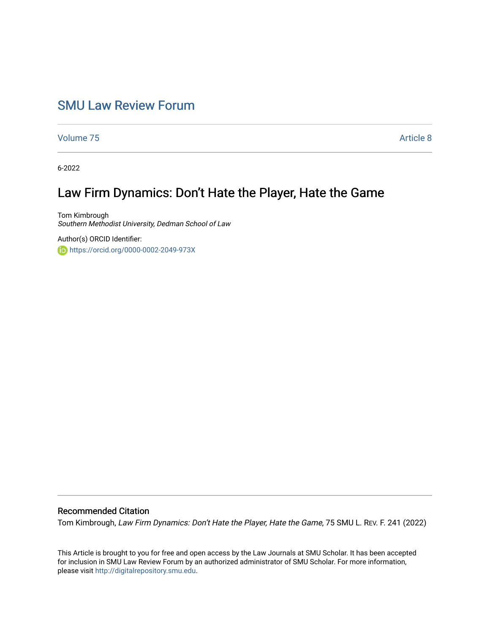## [SMU Law Review Forum](https://scholar.smu.edu/smulrforum)

[Volume 75](https://scholar.smu.edu/smulrforum/vol75) [Article 8](https://scholar.smu.edu/smulrforum/vol75/iss1/8) 

6-2022

# Law Firm Dynamics: Don't Hate the Player, Hate the Game

Tom Kimbrough Southern Methodist University, Dedman School of Law

Author(s) ORCID Identifier: <https://orcid.org/0000-0002-2049-973X>

### Recommended Citation

Tom Kimbrough, Law Firm Dynamics: Don't Hate the Player, Hate the Game, 75 SMU L. REV. F. 241 (2022)

This Article is brought to you for free and open access by the Law Journals at SMU Scholar. It has been accepted for inclusion in SMU Law Review Forum by an authorized administrator of SMU Scholar. For more information, please visit [http://digitalrepository.smu.edu.](http://digitalrepository.smu.edu/)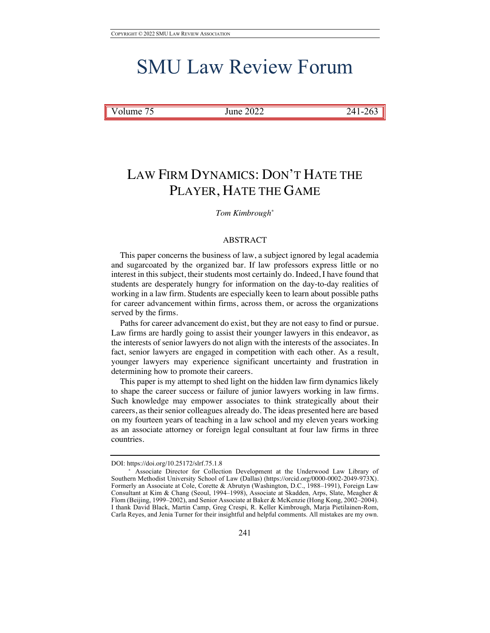# SMU Law Review Forum

Volume 75 June 2022 241-263

# LAW FIRM DYNAMICS: DON'T HATE THE PLAYER, HATE THE GAME

#### *Tom Kimbrough\**

#### ABSTRACT

This paper concerns the business of law, a subject ignored by legal academia and sugarcoated by the organized bar. If law professors express little or no interest in this subject, their students most certainly do. Indeed, I have found that students are desperately hungry for information on the day-to-day realities of working in a law firm. Students are especially keen to learn about possible paths for career advancement within firms, across them, or across the organizations served by the firms.

Paths for career advancement do exist, but they are not easy to find or pursue. Law firms are hardly going to assist their younger lawyers in this endeavor, as the interests of senior lawyers do not align with the interests of the associates. In fact, senior lawyers are engaged in competition with each other. As a result, younger lawyers may experience significant uncertainty and frustration in determining how to promote their careers.

This paper is my attempt to shed light on the hidden law firm dynamics likely to shape the career success or failure of junior lawyers working in law firms. Such knowledge may empower associates to think strategically about their careers, as their senior colleagues already do. The ideas presented here are based on my fourteen years of teaching in a law school and my eleven years working as an associate attorney or foreign legal consultant at four law firms in three countries.

DOI: https://doi.org/10.25172/slrf.75.1.8

<sup>\*</sup> Associate Director for Collection Development at the Underwood Law Library of Southern Methodist University School of Law (Dallas) (https://orcid.org/0000-0002-2049-973X). Formerly an Associate at Cole, Corette & Abrutyn (Washington, D.C., 1988–1991), Foreign Law Consultant at Kim & Chang (Seoul, 1994–1998), Associate at Skadden, Arps, Slate, Meagher & Flom (Beijing, 1999–2002), and Senior Associate at Baker & McKenzie (Hong Kong, 2002–2004). I thank David Black, Martin Camp, Greg Crespi, R. Keller Kimbrough, Marja Pietilainen-Rom, Carla Reyes, and Jenia Turner for their insightful and helpful comments. All mistakes are my own.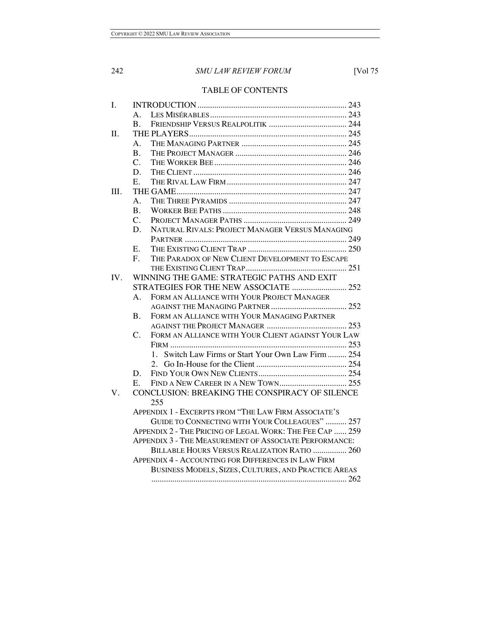### TABLE OF CONTENTS

| I.  |                                                          |                                                               |
|-----|----------------------------------------------------------|---------------------------------------------------------------|
|     | $A_{-}$                                                  |                                                               |
|     | <b>B.</b>                                                |                                                               |
| Π.  |                                                          |                                                               |
|     | A.                                                       |                                                               |
|     | B.                                                       |                                                               |
|     | $\mathcal{C}$ .                                          |                                                               |
|     | D.                                                       |                                                               |
|     | E.                                                       |                                                               |
| Ш.  |                                                          |                                                               |
|     | $\mathsf{A}$ .                                           |                                                               |
|     | $\bf{B}$ .                                               |                                                               |
|     | $\mathcal{C}$ .                                          |                                                               |
|     | D.                                                       | NATURAL RIVALS: PROJECT MANAGER VERSUS MANAGING               |
|     |                                                          |                                                               |
| IV. | Е.                                                       |                                                               |
|     | $F_{\rm{c}}$                                             | THE PARADOX OF NEW CLIENT DEVELOPMENT TO ESCAPE               |
|     |                                                          |                                                               |
|     | WINNING THE GAME: STRATEGIC PATHS AND EXIT               |                                                               |
|     |                                                          |                                                               |
|     | $\mathbf{A}$                                             | FORM AN ALLIANCE WITH YOUR PROJECT MANAGER                    |
|     |                                                          |                                                               |
|     | В.                                                       | FORM AN ALLIANCE WITH YOUR MANAGING PARTNER                   |
|     |                                                          |                                                               |
|     | $C_{\cdot}$                                              | FORM AN ALLIANCE WITH YOUR CLIENT AGAINST YOUR LAW            |
|     |                                                          |                                                               |
|     |                                                          | Switch Law Firms or Start Your Own Law Firm  254<br>$1 \quad$ |
|     |                                                          |                                                               |
|     | D.                                                       |                                                               |
|     | Е.                                                       |                                                               |
| V.  |                                                          | CONCLUSION: BREAKING THE CONSPIRACY OF SILENCE                |
|     |                                                          | 255                                                           |
|     | APPENDIX 1 - EXCERPTS FROM "THE LAW FIRM ASSOCIATE'S     |                                                               |
|     | GUIDE TO CONNECTING WITH YOUR COLLEAGUES"  257           |                                                               |
|     | APPENDIX 2 - THE PRICING OF LEGAL WORK: THE FEE CAP  259 |                                                               |
|     | APPENDIX 3 - THE MEASUREMENT OF ASSOCIATE PERFORMANCE:   |                                                               |
|     | BILLABLE HOURS VERSUS REALIZATION RATIO  260             |                                                               |
|     |                                                          | <b>APPENDIX 4 - ACCOUNTING FOR DIFFERENCES IN LAW FIRM</b>    |
|     |                                                          | BUSINESS MODELS, SIZES, CULTURES, AND PRACTICE AREAS          |
|     |                                                          |                                                               |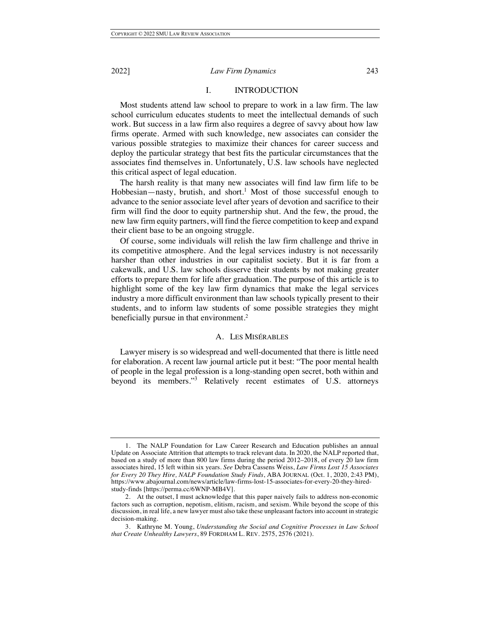#### I. INTRODUCTION

Most students attend law school to prepare to work in a law firm. The law school curriculum educates students to meet the intellectual demands of such work. But success in a law firm also requires a degree of savvy about how law firms operate. Armed with such knowledge, new associates can consider the various possible strategies to maximize their chances for career success and deploy the particular strategy that best fits the particular circumstances that the associates find themselves in. Unfortunately, U.S. law schools have neglected this critical aspect of legal education.

The harsh reality is that many new associates will find law firm life to be Hobbesian—nasty, brutish, and short.<sup>1</sup> Most of those successful enough to advance to the senior associate level after years of devotion and sacrifice to their firm will find the door to equity partnership shut. And the few, the proud, the new law firm equity partners, will find the fierce competition to keep and expand their client base to be an ongoing struggle.

Of course, some individuals will relish the law firm challenge and thrive in its competitive atmosphere. And the legal services industry is not necessarily harsher than other industries in our capitalist society. But it is far from a cakewalk, and U.S. law schools disserve their students by not making greater efforts to prepare them for life after graduation. The purpose of this article is to highlight some of the key law firm dynamics that make the legal services industry a more difficult environment than law schools typically present to their students, and to inform law students of some possible strategies they might beneficially pursue in that environment. 2

#### A. LES MISÉRABLES

Lawyer misery is so widespread and well-documented that there is little need for elaboration. A recent law journal article put it best: "The poor mental health of people in the legal profession is a long-standing open secret, both within and beyond its members."<sup>3</sup> Relatively recent estimates of U.S. attorneys

<sup>1.</sup> The NALP Foundation for Law Career Research and Education publishes an annual Update on Associate Attrition that attempts to track relevant data. In 2020, the NALP reported that, based on a study of more than 800 law firms during the period 2012–2018, of every 20 law firm associates hired, 15 left within six years. *See* Debra Cassens Weiss, *Law Firms Lost 15 Associates for Every 20 They Hire, NALP Foundation Study Finds*, ABA JOURNAL (Oct. 1, 2020, 2:43 PM), https://www.abajournal.com/news/article/law-firms-lost-15-associates-for-every-20-they-hiredstudy-finds [https://perma.cc/6WNP-MB4V].

<sup>2.</sup> At the outset, I must acknowledge that this paper naively fails to address non-economic factors such as corruption, nepotism, elitism, racism, and sexism. While beyond the scope of this discussion, in real life, a new lawyer must also take these unpleasant factors into account in strategic decision-making.

<sup>3.</sup> Kathryne M. Young, *Understanding the Social and Cognitive Processes in Law School that Create Unhealthy Lawyers*, 89 FORDHAM L. REV. 2575, 2576 (2021).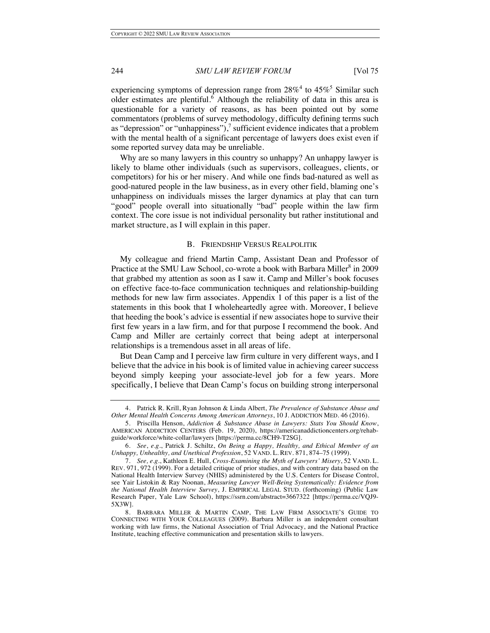experiencing symptoms of depression range from  $28\%$ <sup>4</sup> to  $45\%$ <sup>5</sup> Similar such older estimates are plentiful.<sup>6</sup> Although the reliability of data in this area is questionable for a variety of reasons, as has been pointed out by some commentators (problems of survey methodology, difficulty defining terms such as "depression" or "unhappiness"), $\frac{7}{7}$  sufficient evidence indicates that a problem with the mental health of a significant percentage of lawyers does exist even if some reported survey data may be unreliable.

Why are so many lawyers in this country so unhappy? An unhappy lawyer is likely to blame other individuals (such as supervisors, colleagues, clients, or competitors) for his or her misery. And while one finds bad-natured as well as good-natured people in the law business, as in every other field, blaming one's unhappiness on individuals misses the larger dynamics at play that can turn "good" people overall into situationally "bad" people within the law firm context. The core issue is not individual personality but rather institutional and market structure, as I will explain in this paper.

#### B. FRIENDSHIP VERSUS REALPOLITIK

My colleague and friend Martin Camp, Assistant Dean and Professor of Practice at the SMU Law School, co-wrote a book with Barbara Miller<sup>8</sup> in 2009 that grabbed my attention as soon as I saw it. Camp and Miller's book focuses on effective face-to-face communication techniques and relationship-building methods for new law firm associates. Appendix 1 of this paper is a list of the statements in this book that I wholeheartedly agree with. Moreover, I believe that heeding the book's advice is essential if new associates hope to survive their first few years in a law firm, and for that purpose I recommend the book. And Camp and Miller are certainly correct that being adept at interpersonal relationships is a tremendous asset in all areas of life.

But Dean Camp and I perceive law firm culture in very different ways, and I believe that the advice in his book is of limited value in achieving career success beyond simply keeping your associate-level job for a few years. More specifically, I believe that Dean Camp's focus on building strong interpersonal

<sup>4.</sup> Patrick R. Krill, Ryan Johnson & Linda Albert, *The Prevalence of Substance Abuse and Other Mental Health Concerns Among American Attorneys*, 10 J. ADDICTION MED. 46 (2016).

<sup>5.</sup> Priscilla Henson, *Addiction & Substance Abuse in Lawyers: Stats You Should Know*, AMERICAN ADDICTION CENTERS (Feb. 19, 2020), https://americanaddictioncenters.org/rehabguide/workforce/white-collar/lawyers [https://perma.cc/8CH9-T2SG].

<sup>6.</sup> *See*, *e.g.*, Patrick J. Schiltz, *On Being a Happy, Healthy, and Ethical Member of an Unhappy, Unhealthy, and Unethical Profession*, 52 VAND. L. REV. 871, 874–75 (1999).

<sup>7.</sup> *See, e.g.*, Kathleen E. Hull, *Cross-Examining the Myth of Lawyers' Misery*, 52 VAND. L. REV. 971, 972 (1999). For a detailed critique of prior studies, and with contrary data based on the National Health Interview Survey (NHIS) administered by the U.S. Centers for Disease Control, see Yair Listokin & Ray Noonan, *Measuring Lawyer Well-Being Systematically: Evidence from the National Health Interview Survey*, J. EMPIRICAL LEGAL STUD. (forthcoming) (Public Law Research Paper, Yale Law School), https://ssrn.com/abstract=3667322 [https://perma.cc/VQJ9- 5X3W].

<sup>8.</sup> BARBARA MILLER & MARTIN CAMP, THE LAW FIRM ASSOCIATE'S GUIDE TO CONNECTING WITH YOUR COLLEAGUES (2009). Barbara Miller is an independent consultant working with law firms, the National Association of Trial Advocacy, and the National Practice Institute, teaching effective communication and presentation skills to lawyers.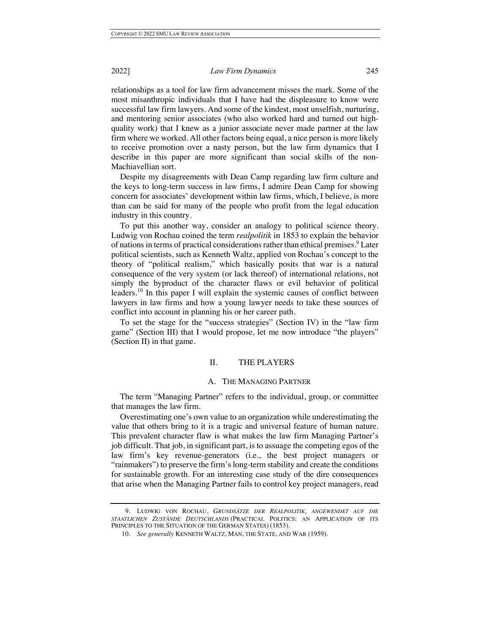relationships as a tool for law firm advancement misses the mark. Some of the most misanthropic individuals that I have had the displeasure to know were successful law firm lawyers. And some of the kindest, most unselfish, nurturing, and mentoring senior associates (who also worked hard and turned out highquality work) that I knew as a junior associate never made partner at the law firm where we worked. All other factors being equal, a nice person is more likely to receive promotion over a nasty person, but the law firm dynamics that I describe in this paper are more significant than social skills of the non-Machiavellian sort.

Despite my disagreements with Dean Camp regarding law firm culture and the keys to long-term success in law firms, I admire Dean Camp for showing concern for associates' development within law firms, which, I believe, is more than can be said for many of the people who profit from the legal education industry in this country.

To put this another way, consider an analogy to political science theory. Ludwig von Rochau coined the term *realpolitik* in 1853 to explain the behavior of nations in terms of practical considerations rather than ethical premises.<sup>9</sup> Later political scientists, such as Kenneth Waltz, applied von Rochau's concept to the theory of "political realism," which basically posits that war is a natural consequence of the very system (or lack thereof) of international relations, not simply the byproduct of the character flaws or evil behavior of political leaders.<sup>10</sup> In this paper I will explain the systemic causes of conflict between lawyers in law firms and how a young lawyer needs to take these sources of conflict into account in planning his or her career path.

To set the stage for the "success strategies" (Section IV) in the "law firm game" (Section III) that I would propose, let me now introduce "the players" (Section II) in that game.

#### II. THE PLAYERS

#### A. THE MANAGING PARTNER

The term "Managing Partner" refers to the individual, group, or committee that manages the law firm.

Overestimating one's own value to an organization while underestimating the value that others bring to it is a tragic and universal feature of human nature. This prevalent character flaw is what makes the law firm Managing Partner's job difficult. That job, in significant part, is to assuage the competing egos of the law firm's key revenue-generators (i.e., the best project managers or "rainmakers") to preserve the firm's long-term stability and create the conditions for sustainable growth. For an interesting case study of the dire consequences that arise when the Managing Partner fails to control key project managers, read

<sup>9.</sup> LUDWIG VON ROCHAU, *GRUNDSÄTZE DER REALPOLITIK, ANGEWENDET AUF DIE STAATLICHEN ZUSTÄNDE DEUTSCHLANDS* (PRACTICAL POLITICS: AN APPLICATION OF ITS PRINCIPLES TO THE SITUATION OF THE GERMAN STATES) (1853).

<sup>10.</sup> *See generally* KENNETH WALTZ, MAN, THE STATE, AND WAR (1959).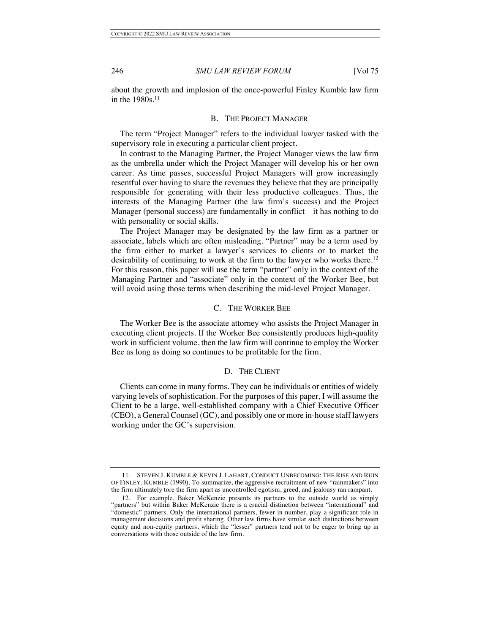about the growth and implosion of the once-powerful Finley Kumble law firm in the 1980s.11

#### B. THE PROJECT MANAGER

The term "Project Manager" refers to the individual lawyer tasked with the supervisory role in executing a particular client project.

In contrast to the Managing Partner, the Project Manager views the law firm as the umbrella under which the Project Manager will develop his or her own career. As time passes, successful Project Managers will grow increasingly resentful over having to share the revenues they believe that they are principally responsible for generating with their less productive colleagues. Thus, the interests of the Managing Partner (the law firm's success) and the Project Manager (personal success) are fundamentally in conflict—it has nothing to do with personality or social skills.

The Project Manager may be designated by the law firm as a partner or associate, labels which are often misleading. "Partner" may be a term used by the firm either to market a lawyer's services to clients or to market the desirability of continuing to work at the firm to the lawyer who works there.<sup>12</sup> For this reason, this paper will use the term "partner" only in the context of the Managing Partner and "associate" only in the context of the Worker Bee, but will avoid using those terms when describing the mid-level Project Manager.

#### C. THE WORKER BEE

The Worker Bee is the associate attorney who assists the Project Manager in executing client projects. If the Worker Bee consistently produces high-quality work in sufficient volume, then the law firm will continue to employ the Worker Bee as long as doing so continues to be profitable for the firm.

#### D. THE CLIENT

Clients can come in many forms. They can be individuals or entities of widely varying levels of sophistication. For the purposes of this paper, I will assume the Client to be a large, well-established company with a Chief Executive Officer (CEO), a General Counsel (GC), and possibly one or more in-house staff lawyers working under the GC's supervision.

<sup>11.</sup> STEVEN J. KUMBLE & KEVIN J. LAHART, CONDUCT UNBECOMING: THE RISE AND RUIN OF FINLEY, KUMBLE (1990). To summarize, the aggressive recruitment of new "rainmakers" into the firm ultimately tore the firm apart as uncontrolled egotism, greed, and jealousy ran rampant.

<sup>12.</sup> For example, Baker McKenzie presents its partners to the outside world as simply "partners" but within Baker McKenzie there is a crucial distinction between "international" and "domestic" partners. Only the international partners, fewer in number, play a significant role in management decisions and profit sharing. Other law firms have similar such distinctions between equity and non-equity partners, which the "lesser" partners tend not to be eager to bring up in conversations with those outside of the law firm.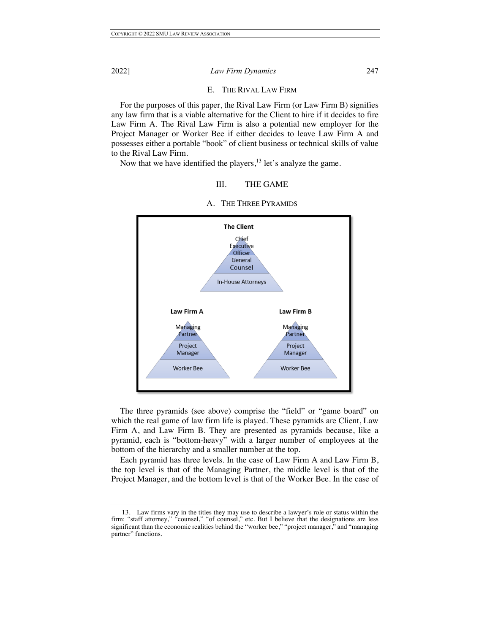#### E. THE RIVAL LAW FIRM

For the purposes of this paper, the Rival Law Firm (or Law Firm B) signifies any law firm that is a viable alternative for the Client to hire if it decides to fire Law Firm A. The Rival Law Firm is also a potential new employer for the Project Manager or Worker Bee if either decides to leave Law Firm A and possesses either a portable "book" of client business or technical skills of value to the Rival Law Firm.

Now that we have identified the players,  $^{13}$  let's analyze the game.

### III. THE GAME



A. THE THREE PYRAMIDS

The three pyramids (see above) comprise the "field" or "game board" on which the real game of law firm life is played. These pyramids are Client, Law Firm A, and Law Firm B. They are presented as pyramids because, like a pyramid, each is "bottom-heavy" with a larger number of employees at the bottom of the hierarchy and a smaller number at the top.

Each pyramid has three levels. In the case of Law Firm A and Law Firm B, the top level is that of the Managing Partner, the middle level is that of the Project Manager, and the bottom level is that of the Worker Bee. In the case of

<sup>13.</sup> Law firms vary in the titles they may use to describe a lawyer's role or status within the firm: "staff attorney," "counsel," "of counsel," etc. But I believe that the designations are less significant than the economic realities behind the "worker bee," "project manager," and "managing partner" functions.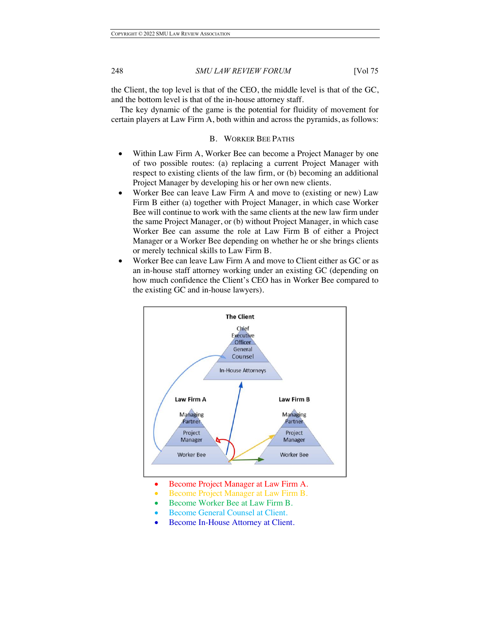the Client, the top level is that of the CEO, the middle level is that of the GC, and the bottom level is that of the in-house attorney staff.

The key dynamic of the game is the potential for fluidity of movement for certain players at Law Firm A, both within and across the pyramids, as follows:

#### B. WORKER BEE PATHS

- Within Law Firm A, Worker Bee can become a Project Manager by one of two possible routes: (a) replacing a current Project Manager with respect to existing clients of the law firm, or (b) becoming an additional Project Manager by developing his or her own new clients.
- Worker Bee can leave Law Firm A and move to (existing or new) Law Firm B either (a) together with Project Manager, in which case Worker Bee will continue to work with the same clients at the new law firm under the same Project Manager, or (b) without Project Manager, in which case Worker Bee can assume the role at Law Firm B of either a Project Manager or a Worker Bee depending on whether he or she brings clients or merely technical skills to Law Firm B.
- Worker Bee can leave Law Firm A and move to Client either as GC or as an in-house staff attorney working under an existing GC (depending on how much confidence the Client's CEO has in Worker Bee compared to the existing GC and in-house lawyers).



- Become Project Manager at Law Firm A.
- Become Project Manager at Law Firm B.
- Become Worker Bee at Law Firm B.
- Become General Counsel at Client.
- Become In-House Attorney at Client.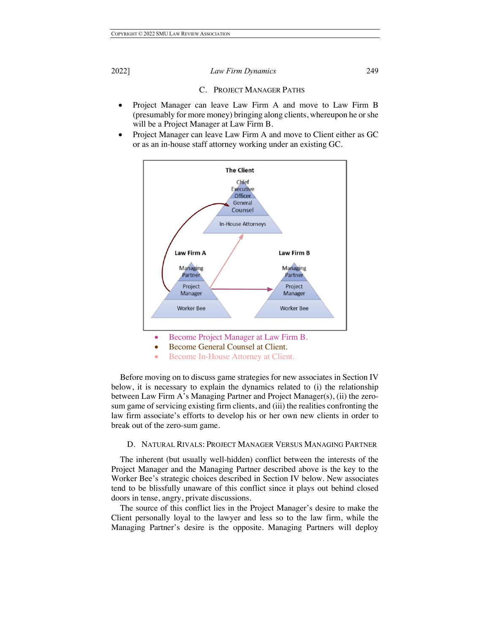#### C. PROJECT MANAGER PATHS

- Project Manager can leave Law Firm A and move to Law Firm B (presumably for more money) bringing along clients, whereupon he or she will be a Project Manager at Law Firm B.
- Project Manager can leave Law Firm A and move to Client either as GC or as an in-house staff attorney working under an existing GC.



• Become In-House Attorney at Client.

Before moving on to discuss game strategies for new associates in Section IV below, it is necessary to explain the dynamics related to (i) the relationship between Law Firm A's Managing Partner and Project Manager(s), (ii) the zerosum game of servicing existing firm clients, and (iii) the realities confronting the law firm associate's efforts to develop his or her own new clients in order to break out of the zero-sum game.

#### D. NATURAL RIVALS: PROJECT MANAGER VERSUS MANAGING PARTNER

The inherent (but usually well-hidden) conflict between the interests of the Project Manager and the Managing Partner described above is the key to the Worker Bee's strategic choices described in Section IV below. New associates tend to be blissfully unaware of this conflict since it plays out behind closed doors in tense, angry, private discussions.

The source of this conflict lies in the Project Manager's desire to make the Client personally loyal to the lawyer and less so to the law firm, while the Managing Partner's desire is the opposite. Managing Partners will deploy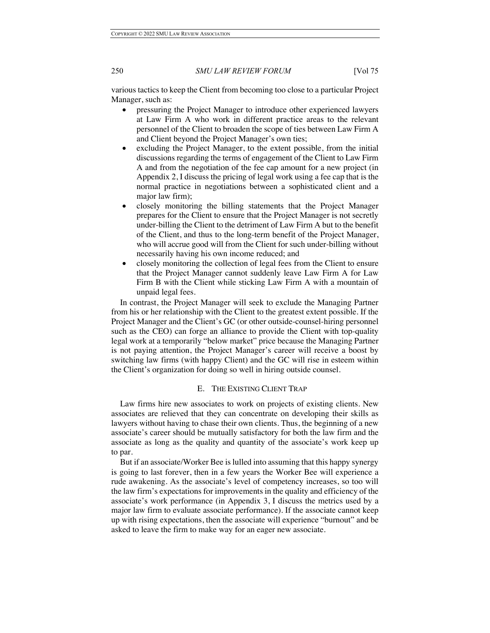various tactics to keep the Client from becoming too close to a particular Project Manager, such as:

- pressuring the Project Manager to introduce other experienced lawyers at Law Firm A who work in different practice areas to the relevant personnel of the Client to broaden the scope of ties between Law Firm A and Client beyond the Project Manager's own ties;
- excluding the Project Manager, to the extent possible, from the initial discussions regarding the terms of engagement of the Client to Law Firm A and from the negotiation of the fee cap amount for a new project (in Appendix 2, I discuss the pricing of legal work using a fee cap that is the normal practice in negotiations between a sophisticated client and a major law firm);
- closely monitoring the billing statements that the Project Manager prepares for the Client to ensure that the Project Manager is not secretly under-billing the Client to the detriment of Law Firm A but to the benefit of the Client, and thus to the long-term benefit of the Project Manager, who will accrue good will from the Client for such under-billing without necessarily having his own income reduced; and
- closely monitoring the collection of legal fees from the Client to ensure that the Project Manager cannot suddenly leave Law Firm A for Law Firm B with the Client while sticking Law Firm A with a mountain of unpaid legal fees.

In contrast, the Project Manager will seek to exclude the Managing Partner from his or her relationship with the Client to the greatest extent possible. If the Project Manager and the Client's GC (or other outside-counsel-hiring personnel such as the CEO) can forge an alliance to provide the Client with top-quality legal work at a temporarily "below market" price because the Managing Partner is not paying attention, the Project Manager's career will receive a boost by switching law firms (with happy Client) and the GC will rise in esteem within the Client's organization for doing so well in hiring outside counsel.

#### E. THE EXISTING CLIENT TRAP

Law firms hire new associates to work on projects of existing clients. New associates are relieved that they can concentrate on developing their skills as lawyers without having to chase their own clients. Thus, the beginning of a new associate's career should be mutually satisfactory for both the law firm and the associate as long as the quality and quantity of the associate's work keep up to par.

But if an associate/Worker Bee is lulled into assuming that this happy synergy is going to last forever, then in a few years the Worker Bee will experience a rude awakening. As the associate's level of competency increases, so too will the law firm's expectations for improvements in the quality and efficiency of the associate's work performance (in Appendix 3, I discuss the metrics used by a major law firm to evaluate associate performance). If the associate cannot keep up with rising expectations, then the associate will experience "burnout" and be asked to leave the firm to make way for an eager new associate.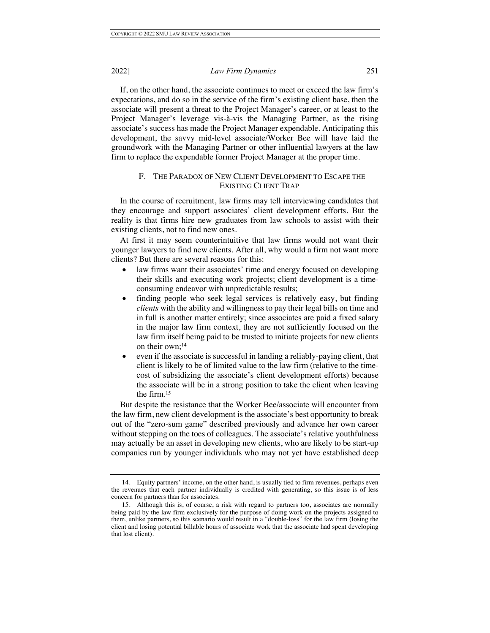If, on the other hand, the associate continues to meet or exceed the law firm's expectations, and do so in the service of the firm's existing client base, then the associate will present a threat to the Project Manager's career, or at least to the Project Manager's leverage vis-à-vis the Managing Partner, as the rising associate's success has made the Project Manager expendable. Anticipating this development, the savvy mid-level associate/Worker Bee will have laid the groundwork with the Managing Partner or other influential lawyers at the law firm to replace the expendable former Project Manager at the proper time.

#### F. THE PARADOX OF NEW CLIENT DEVELOPMENT TO ESCAPE THE EXISTING CLIENT TRAP

In the course of recruitment, law firms may tell interviewing candidates that they encourage and support associates' client development efforts. But the reality is that firms hire new graduates from law schools to assist with their existing clients, not to find new ones.

At first it may seem counterintuitive that law firms would not want their younger lawyers to find new clients. After all, why would a firm not want more clients? But there are several reasons for this:

- law firms want their associates' time and energy focused on developing their skills and executing work projects; client development is a timeconsuming endeavor with unpredictable results;
- finding people who seek legal services is relatively easy, but finding *clients* with the ability and willingness to pay their legal bills on time and in full is another matter entirely; since associates are paid a fixed salary in the major law firm context, they are not sufficiently focused on the law firm itself being paid to be trusted to initiate projects for new clients on their own;14
- even if the associate is successful in landing a reliably-paying client, that client is likely to be of limited value to the law firm (relative to the timecost of subsidizing the associate's client development efforts) because the associate will be in a strong position to take the client when leaving the firm.15

But despite the resistance that the Worker Bee/associate will encounter from the law firm, new client development is the associate's best opportunity to break out of the "zero-sum game" described previously and advance her own career without stepping on the toes of colleagues. The associate's relative youthfulness may actually be an asset in developing new clients, who are likely to be start-up companies run by younger individuals who may not yet have established deep

<sup>14.</sup> Equity partners' income, on the other hand, is usually tied to firm revenues, perhaps even the revenues that each partner individually is credited with generating, so this issue is of less concern for partners than for associates.

<sup>15.</sup> Although this is, of course, a risk with regard to partners too, associates are normally being paid by the law firm exclusively for the purpose of doing work on the projects assigned to them, unlike partners, so this scenario would result in a "double-loss" for the law firm (losing the client and losing potential billable hours of associate work that the associate had spent developing that lost client).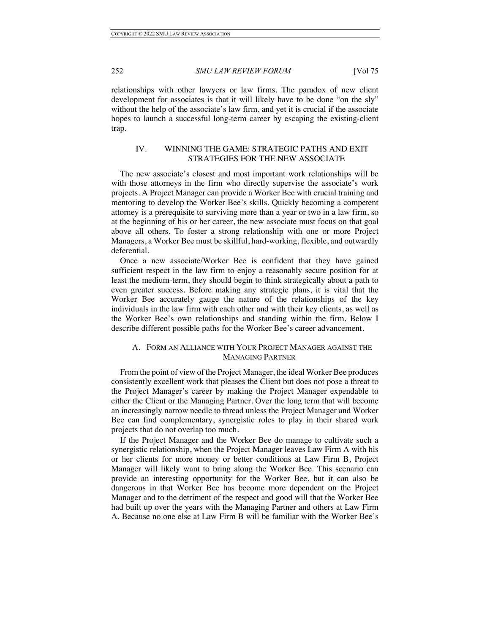relationships with other lawyers or law firms. The paradox of new client development for associates is that it will likely have to be done "on the sly" without the help of the associate's law firm, and yet it is crucial if the associate hopes to launch a successful long-term career by escaping the existing-client trap.

### IV. WINNING THE GAME: STRATEGIC PATHS AND EXIT STRATEGIES FOR THE NEW ASSOCIATE

The new associate's closest and most important work relationships will be with those attorneys in the firm who directly supervise the associate's work projects. A Project Manager can provide a Worker Bee with crucial training and mentoring to develop the Worker Bee's skills. Quickly becoming a competent attorney is a prerequisite to surviving more than a year or two in a law firm, so at the beginning of his or her career, the new associate must focus on that goal above all others. To foster a strong relationship with one or more Project Managers, a Worker Bee must be skillful, hard-working, flexible, and outwardly deferential.

Once a new associate/Worker Bee is confident that they have gained sufficient respect in the law firm to enjoy a reasonably secure position for at least the medium-term, they should begin to think strategically about a path to even greater success. Before making any strategic plans, it is vital that the Worker Bee accurately gauge the nature of the relationships of the key individuals in the law firm with each other and with their key clients, as well as the Worker Bee's own relationships and standing within the firm. Below I describe different possible paths for the Worker Bee's career advancement.

#### A. FORM AN ALLIANCE WITH YOUR PROJECT MANAGER AGAINST THE MANAGING PARTNER

From the point of view of the Project Manager, the ideal Worker Bee produces consistently excellent work that pleases the Client but does not pose a threat to the Project Manager's career by making the Project Manager expendable to either the Client or the Managing Partner. Over the long term that will become an increasingly narrow needle to thread unless the Project Manager and Worker Bee can find complementary, synergistic roles to play in their shared work projects that do not overlap too much.

If the Project Manager and the Worker Bee do manage to cultivate such a synergistic relationship, when the Project Manager leaves Law Firm A with his or her clients for more money or better conditions at Law Firm B, Project Manager will likely want to bring along the Worker Bee. This scenario can provide an interesting opportunity for the Worker Bee, but it can also be dangerous in that Worker Bee has become more dependent on the Project Manager and to the detriment of the respect and good will that the Worker Bee had built up over the years with the Managing Partner and others at Law Firm A. Because no one else at Law Firm B will be familiar with the Worker Bee's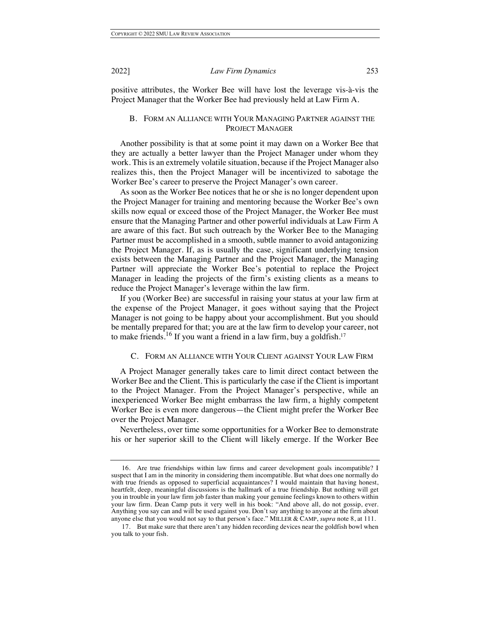positive attributes, the Worker Bee will have lost the leverage vis-à-vis the Project Manager that the Worker Bee had previously held at Law Firm A.

#### B. FORM AN ALLIANCE WITH YOUR MANAGING PARTNER AGAINST THE PROJECT MANAGER

Another possibility is that at some point it may dawn on a Worker Bee that they are actually a better lawyer than the Project Manager under whom they work. This is an extremely volatile situation, because if the Project Manager also realizes this, then the Project Manager will be incentivized to sabotage the Worker Bee's career to preserve the Project Manager's own career.

As soon as the Worker Bee notices that he or she is no longer dependent upon the Project Manager for training and mentoring because the Worker Bee's own skills now equal or exceed those of the Project Manager, the Worker Bee must ensure that the Managing Partner and other powerful individuals at Law Firm A are aware of this fact. But such outreach by the Worker Bee to the Managing Partner must be accomplished in a smooth, subtle manner to avoid antagonizing the Project Manager. If, as is usually the case, significant underlying tension exists between the Managing Partner and the Project Manager, the Managing Partner will appreciate the Worker Bee's potential to replace the Project Manager in leading the projects of the firm's existing clients as a means to reduce the Project Manager's leverage within the law firm.

If you (Worker Bee) are successful in raising your status at your law firm at the expense of the Project Manager, it goes without saying that the Project Manager is not going to be happy about your accomplishment. But you should be mentally prepared for that; you are at the law firm to develop your career, not to make friends.<sup>16</sup> If you want a friend in a law firm, buy a goldfish.<sup>17</sup>

#### C. FORM AN ALLIANCE WITH YOUR CLIENT AGAINST YOUR LAW FIRM

A Project Manager generally takes care to limit direct contact between the Worker Bee and the Client. This is particularly the case if the Client is important to the Project Manager. From the Project Manager's perspective, while an inexperienced Worker Bee might embarrass the law firm, a highly competent Worker Bee is even more dangerous—the Client might prefer the Worker Bee over the Project Manager.

Nevertheless, over time some opportunities for a Worker Bee to demonstrate his or her superior skill to the Client will likely emerge. If the Worker Bee

<sup>16.</sup> Are true friendships within law firms and career development goals incompatible? I suspect that I am in the minority in considering them incompatible. But what does one normally do with true friends as opposed to superficial acquaintances? I would maintain that having honest, heartfelt, deep, meaningful discussions is the hallmark of a true friendship. But nothing will get you in trouble in your law firm job faster than making your genuine feelings known to others within your law firm. Dean Camp puts it very well in his book: "And above all, do not gossip, ever. Anything you say can and will be used against you. Don't say anything to anyone at the firm about anyone else that you would not say to that person's face." MILLER & CAMP, *supra* note 8, at 111.

<sup>17</sup>. But make sure that there aren't any hidden recording devices near the goldfish bowl when you talk to your fish.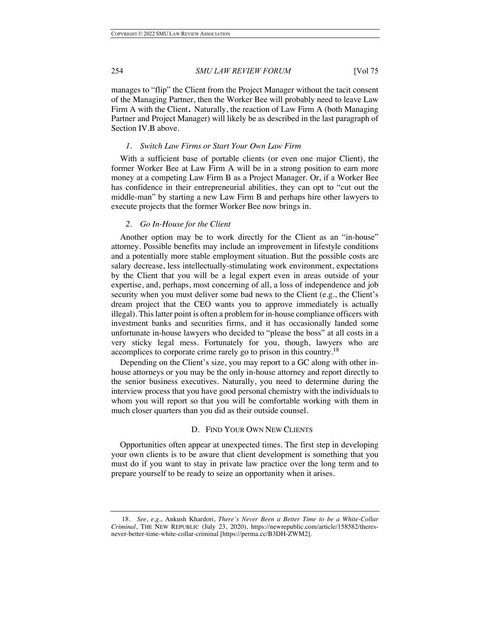manages to "flip" the Client from the Project Manager without the tacit consent of the Managing Partner, then the Worker Bee will probably need to leave Law Firm A with the Client. Naturally, the reaction of Law Firm A (both Managing Partner and Project Manager) will likely be as described in the last paragraph of Section IV.B above.

#### *1. Switch Law Firms or Start Your Own Law Firm*

With a sufficient base of portable clients (or even one major Client), the former Worker Bee at Law Firm A will be in a strong position to earn more money at a competing Law Firm B as a Project Manager. Or, if a Worker Bee has confidence in their entrepreneurial abilities, they can opt to "cut out the middle-man" by starting a new Law Firm B and perhaps hire other lawyers to execute projects that the former Worker Bee now brings in.

#### *2. Go In-House for the Client*

Another option may be to work directly for the Client as an "in-house" attorney. Possible benefits may include an improvement in lifestyle conditions and a potentially more stable employment situation. But the possible costs are salary decrease, less intellectually-stimulating work environment, expectations by the Client that you will be a legal expert even in areas outside of your expertise, and, perhaps, most concerning of all, a loss of independence and job security when you must deliver some bad news to the Client (e.g., the Client's dream project that the CEO wants you to approve immediately is actually illegal). This latter point is often a problem for in-house compliance officers with investment banks and securities firms, and it has occasionally landed some unfortunate in-house lawyers who decided to "please the boss" at all costs in a very sticky legal mess. Fortunately for you, though, lawyers who are accomplices to corporate crime rarely go to prison in this country.<sup>18</sup>

Depending on the Client's size, you may report to a GC along with other inhouse attorneys or you may be the only in-house attorney and report directly to the senior business executives. Naturally, you need to determine during the interview process that you have good personal chemistry with the individuals to whom you will report so that you will be comfortable working with them in much closer quarters than you did as their outside counsel.

#### D. FIND YOUR OWN NEW CLIENTS

Opportunities often appear at unexpected times. The first step in developing your own clients is to be aware that client development is something that you must do if you want to stay in private law practice over the long term and to prepare yourself to be ready to seize an opportunity when it arises.

<sup>18</sup>. *See*, *e.g.*, Ankush Khardori, *There's Never Been a Better Time to be a White-Collar Criminal*, THE NEW REPUBLIC (July 23, 2020), https://newrepublic.com/article/158582/theresnever-better-time-white-collar-criminal [https://perma.cc/B3DH-ZWM2].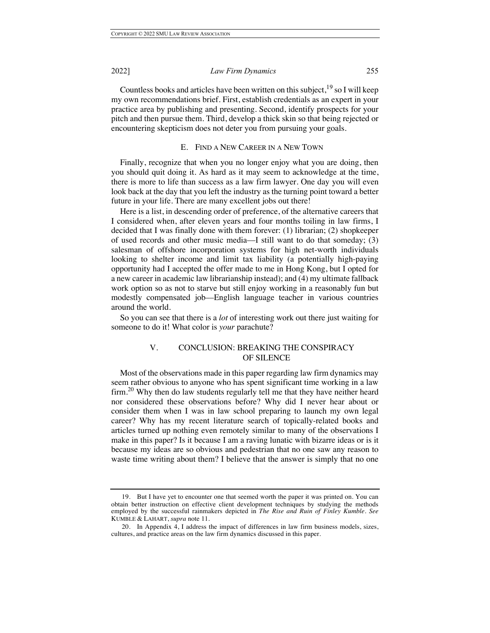Countless books and articles have been written on this subject,  $19$  so I will keep my own recommendations brief. First, establish credentials as an expert in your practice area by publishing and presenting. Second, identify prospects for your pitch and then pursue them. Third, develop a thick skin so that being rejected or encountering skepticism does not deter you from pursuing your goals.

#### E. FIND A NEW CAREER IN A NEW TOWN

Finally, recognize that when you no longer enjoy what you are doing, then you should quit doing it. As hard as it may seem to acknowledge at the time, there is more to life than success as a law firm lawyer. One day you will even look back at the day that you left the industry as the turning point toward a better future in your life. There are many excellent jobs out there!

Here is a list, in descending order of preference, of the alternative careers that I considered when, after eleven years and four months toiling in law firms, I decided that I was finally done with them forever: (1) librarian; (2) shopkeeper of used records and other music media––I still want to do that someday; (3) salesman of offshore incorporation systems for high net-worth individuals looking to shelter income and limit tax liability (a potentially high-paying opportunity had I accepted the offer made to me in Hong Kong, but I opted for a new career in academic law librarianship instead); and (4) my ultimate fallback work option so as not to starve but still enjoy working in a reasonably fun but modestly compensated job––English language teacher in various countries around the world.

So you can see that there is a *lot* of interesting work out there just waiting for someone to do it! What color is *your* parachute?

### V. CONCLUSION: BREAKING THE CONSPIRACY OF SILENCE

Most of the observations made in this paper regarding law firm dynamics may seem rather obvious to anyone who has spent significant time working in a law  $f_{\text{irr}}^{20}$  Why then do law students regularly tell me that they have neither heard nor considered these observations before? Why did I never hear about or consider them when I was in law school preparing to launch my own legal career? Why has my recent literature search of topically-related books and articles turned up nothing even remotely similar to many of the observations I make in this paper? Is it because I am a raving lunatic with bizarre ideas or is it because my ideas are so obvious and pedestrian that no one saw any reason to waste time writing about them? I believe that the answer is simply that no one

<sup>19.</sup> But I have yet to encounter one that seemed worth the paper it was printed on. You can obtain better instruction on effective client development techniques by studying the methods employed by the successful rainmakers depicted in *The Rise and Ruin of Finley Kumble*. *See* KUMBLE & LAHART, *supra* note 11.

<sup>20.</sup> In Appendix 4, I address the impact of differences in law firm business models, sizes, cultures, and practice areas on the law firm dynamics discussed in this paper.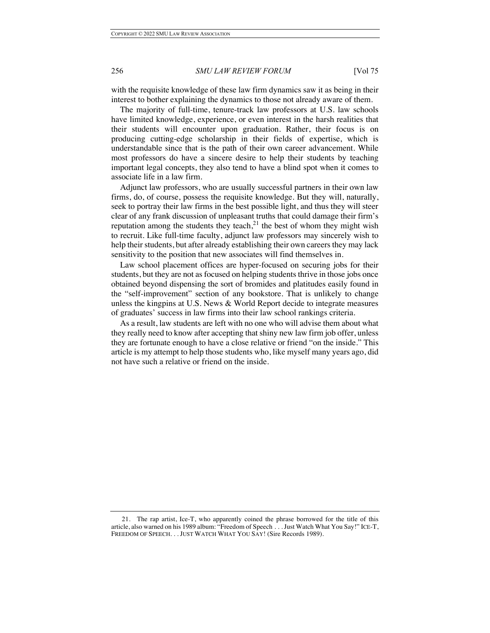with the requisite knowledge of these law firm dynamics saw it as being in their interest to bother explaining the dynamics to those not already aware of them.

The majority of full-time, tenure-track law professors at U.S. law schools have limited knowledge, experience, or even interest in the harsh realities that their students will encounter upon graduation. Rather, their focus is on producing cutting-edge scholarship in their fields of expertise, which is understandable since that is the path of their own career advancement. While most professors do have a sincere desire to help their students by teaching important legal concepts, they also tend to have a blind spot when it comes to associate life in a law firm.

Adjunct law professors, who are usually successful partners in their own law firms, do, of course, possess the requisite knowledge. But they will, naturally, seek to portray their law firms in the best possible light, and thus they will steer clear of any frank discussion of unpleasant truths that could damage their firm's reputation among the students they teach,<sup>21</sup> the best of whom they might wish to recruit. Like full-time faculty, adjunct law professors may sincerely wish to help their students, but after already establishing their own careers they may lack sensitivity to the position that new associates will find themselves in.

Law school placement offices are hyper-focused on securing jobs for their students, but they are not as focused on helping students thrive in those jobs once obtained beyond dispensing the sort of bromides and platitudes easily found in the "self-improvement" section of any bookstore. That is unlikely to change unless the kingpins at U.S. News & World Report decide to integrate measures of graduates' success in law firms into their law school rankings criteria.

As a result, law students are left with no one who will advise them about what they really need to know after accepting that shiny new law firm job offer, unless they are fortunate enough to have a close relative or friend "on the inside." This article is my attempt to help those students who, like myself many years ago, did not have such a relative or friend on the inside.

<sup>21.</sup> The rap artist, Ice-T, who apparently coined the phrase borrowed for the title of this article, also warned on his 1989 album: "Freedom of Speech . . . Just Watch What You Say!" ICE-T, FREEDOM OF SPEECH. . . JUST WATCH WHAT YOU SAY! (Sire Records 1989).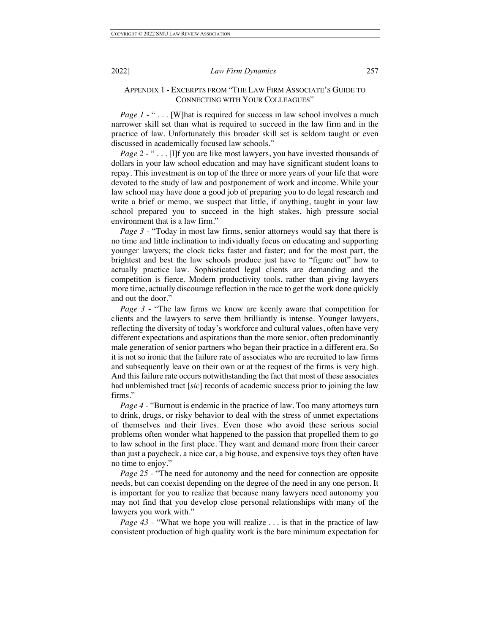#### APPENDIX 1 - EXCERPTS FROM "THE LAW FIRM ASSOCIATE'S GUIDE TO CONNECTING WITH YOUR COLLEAGUES"

*Page 1* - " . . . [W] hat is required for success in law school involves a much narrower skill set than what is required to succeed in the law firm and in the practice of law. Unfortunately this broader skill set is seldom taught or even discussed in academically focused law schools."

*Page 2* - " . . . [I]f you are like most lawyers, you have invested thousands of dollars in your law school education and may have significant student loans to repay. This investment is on top of the three or more years of your life that were devoted to the study of law and postponement of work and income. While your law school may have done a good job of preparing you to do legal research and write a brief or memo, we suspect that little, if anything, taught in your law school prepared you to succeed in the high stakes, high pressure social environment that is a law firm."

*Page 3* - "Today in most law firms, senior attorneys would say that there is no time and little inclination to individually focus on educating and supporting younger lawyers; the clock ticks faster and faster; and for the most part, the brightest and best the law schools produce just have to "figure out" how to actually practice law. Sophisticated legal clients are demanding and the competition is fierce. Modern productivity tools, rather than giving lawyers more time, actually discourage reflection in the race to get the work done quickly and out the door."

*Page 3* - "The law firms we know are keenly aware that competition for clients and the lawyers to serve them brilliantly is intense. Younger lawyers, reflecting the diversity of today's workforce and cultural values, often have very different expectations and aspirations than the more senior, often predominantly male generation of senior partners who began their practice in a different era. So it is not so ironic that the failure rate of associates who are recruited to law firms and subsequently leave on their own or at the request of the firms is very high. And this failure rate occurs notwithstanding the fact that most of these associates had unblemished tract [*sic*] records of academic success prior to joining the law firms."

*Page 4* - "Burnout is endemic in the practice of law. Too many attorneys turn to drink, drugs, or risky behavior to deal with the stress of unmet expectations of themselves and their lives. Even those who avoid these serious social problems often wonder what happened to the passion that propelled them to go to law school in the first place. They want and demand more from their career than just a paycheck, a nice car, a big house, and expensive toys they often have no time to enjoy."

*Page 25* - "The need for autonomy and the need for connection are opposite needs, but can coexist depending on the degree of the need in any one person. It is important for you to realize that because many lawyers need autonomy you may not find that you develop close personal relationships with many of the lawyers you work with."

*Page 43* - "What we hope you will realize . . . is that in the practice of law consistent production of high quality work is the bare minimum expectation for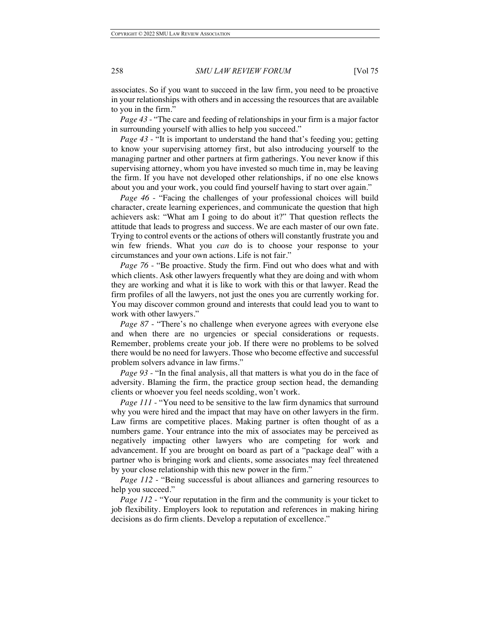associates. So if you want to succeed in the law firm, you need to be proactive in your relationships with others and in accessing the resources that are available to you in the firm."

*Page 43* - "The care and feeding of relationships in your firm is a major factor in surrounding yourself with allies to help you succeed."

*Page 43* - "It is important to understand the hand that's feeding you; getting to know your supervising attorney first, but also introducing yourself to the managing partner and other partners at firm gatherings. You never know if this supervising attorney, whom you have invested so much time in, may be leaving the firm. If you have not developed other relationships, if no one else knows about you and your work, you could find yourself having to start over again."

*Page 46* - "Facing the challenges of your professional choices will build character, create learning experiences, and communicate the question that high achievers ask: "What am I going to do about it?" That question reflects the attitude that leads to progress and success. We are each master of our own fate. Trying to control events or the actions of others will constantly frustrate you and win few friends. What you *can* do is to choose your response to your circumstances and your own actions. Life is not fair."

*Page 76* - "Be proactive. Study the firm. Find out who does what and with which clients. Ask other lawyers frequently what they are doing and with whom they are working and what it is like to work with this or that lawyer. Read the firm profiles of all the lawyers, not just the ones you are currently working for. You may discover common ground and interests that could lead you to want to work with other lawyers."

*Page 87* - "There's no challenge when everyone agrees with everyone else and when there are no urgencies or special considerations or requests. Remember, problems create your job. If there were no problems to be solved there would be no need for lawyers. Those who become effective and successful problem solvers advance in law firms."

*Page 93* - "In the final analysis, all that matters is what you do in the face of adversity. Blaming the firm, the practice group section head, the demanding clients or whoever you feel needs scolding, won't work.

*Page 111* - "You need to be sensitive to the law firm dynamics that surround why you were hired and the impact that may have on other lawyers in the firm. Law firms are competitive places. Making partner is often thought of as a numbers game. Your entrance into the mix of associates may be perceived as negatively impacting other lawyers who are competing for work and advancement. If you are brought on board as part of a "package deal" with a partner who is bringing work and clients, some associates may feel threatened by your close relationship with this new power in the firm."

*Page 112* - "Being successful is about alliances and garnering resources to help you succeed."

*Page 112* - "Your reputation in the firm and the community is your ticket to job flexibility. Employers look to reputation and references in making hiring decisions as do firm clients. Develop a reputation of excellence."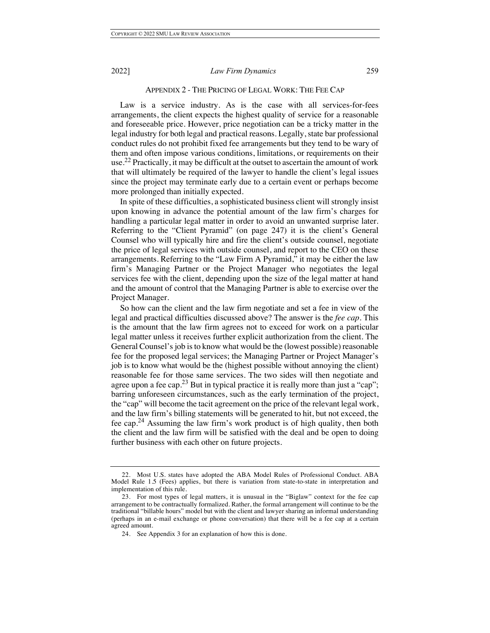#### APPENDIX 2 - THE PRICING OF LEGAL WORK: THE FEE CAP

Law is a service industry. As is the case with all services-for-fees arrangements, the client expects the highest quality of service for a reasonable and foreseeable price. However, price negotiation can be a tricky matter in the legal industry for both legal and practical reasons. Legally, state bar professional conduct rules do not prohibit fixed fee arrangements but they tend to be wary of them and often impose various conditions, limitations, or requirements on their use.<sup>22</sup> Practically, it may be difficult at the outset to ascertain the amount of work that will ultimately be required of the lawyer to handle the client's legal issues since the project may terminate early due to a certain event or perhaps become more prolonged than initially expected.

In spite of these difficulties, a sophisticated business client will strongly insist upon knowing in advance the potential amount of the law firm's charges for handling a particular legal matter in order to avoid an unwanted surprise later. Referring to the "Client Pyramid" (on page 247) it is the client's General Counsel who will typically hire and fire the client's outside counsel, negotiate the price of legal services with outside counsel, and report to the CEO on these arrangements. Referring to the "Law Firm A Pyramid," it may be either the law firm's Managing Partner or the Project Manager who negotiates the legal services fee with the client, depending upon the size of the legal matter at hand and the amount of control that the Managing Partner is able to exercise over the Project Manager.

So how can the client and the law firm negotiate and set a fee in view of the legal and practical difficulties discussed above? The answer is the *fee cap*. This is the amount that the law firm agrees not to exceed for work on a particular legal matter unless it receives further explicit authorization from the client. The General Counsel's job is to know what would be the (lowest possible) reasonable fee for the proposed legal services; the Managing Partner or Project Manager's job is to know what would be the (highest possible without annoying the client) reasonable fee for those same services. The two sides will then negotiate and agree upon a fee cap.<sup>23</sup> But in typical practice it is really more than just a "cap"; barring unforeseen circumstances, such as the early termination of the project, the "cap" will become the tacit agreement on the price of the relevant legal work, and the law firm's billing statements will be generated to hit, but not exceed, the fee cap.<sup>24</sup> Assuming the law firm's work product is of high quality, then both the client and the law firm will be satisfied with the deal and be open to doing further business with each other on future projects.

Most U.S. states have adopted the ABA Model Rules of Professional Conduct. ABA Model Rule 1.5 (Fees) applies, but there is variation from state-to-state in interpretation and implementation of this rule.

<sup>23.</sup> For most types of legal matters, it is unusual in the "Biglaw" context for the fee cap arrangement to be contractually formalized. Rather, the formal arrangement will continue to be the traditional "billable hours" model but with the client and lawyer sharing an informal understanding (perhaps in an e-mail exchange or phone conversation) that there will be a fee cap at a certain agreed amount.

<sup>24.</sup> See Appendix 3 for an explanation of how this is done.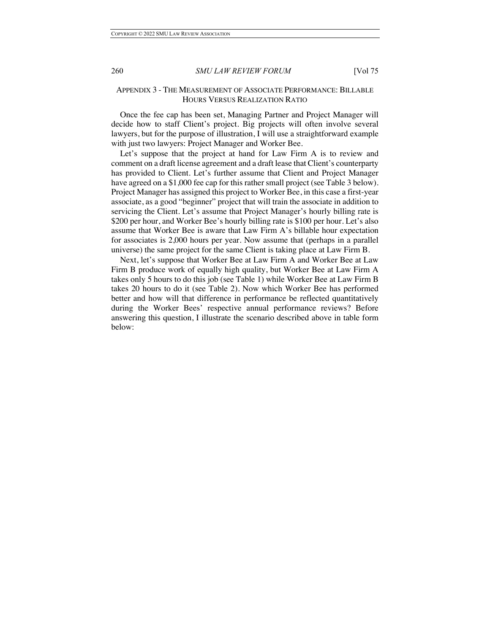#### APPENDIX 3 - THE MEASUREMENT OF ASSOCIATE PERFORMANCE: BILLABLE HOURS VERSUS REALIZATION RATIO

Once the fee cap has been set, Managing Partner and Project Manager will decide how to staff Client's project. Big projects will often involve several lawyers, but for the purpose of illustration, I will use a straightforward example with just two lawyers: Project Manager and Worker Bee.

Let's suppose that the project at hand for Law Firm A is to review and comment on a draft license agreement and a draft lease that Client's counterparty has provided to Client. Let's further assume that Client and Project Manager have agreed on a \$1,000 fee cap for this rather small project (see Table 3 below). Project Manager has assigned this project to Worker Bee, in this case a first-year associate, as a good "beginner" project that will train the associate in addition to servicing the Client. Let's assume that Project Manager's hourly billing rate is \$200 per hour, and Worker Bee's hourly billing rate is \$100 per hour. Let's also assume that Worker Bee is aware that Law Firm A's billable hour expectation for associates is 2,000 hours per year. Now assume that (perhaps in a parallel universe) the same project for the same Client is taking place at Law Firm B.

Next, let's suppose that Worker Bee at Law Firm A and Worker Bee at Law Firm B produce work of equally high quality, but Worker Bee at Law Firm A takes only 5 hours to do this job (see Table 1) while Worker Bee at Law Firm B takes 20 hours to do it (see Table 2). Now which Worker Bee has performed better and how will that difference in performance be reflected quantitatively during the Worker Bees' respective annual performance reviews? Before answering this question, I illustrate the scenario described above in table form below: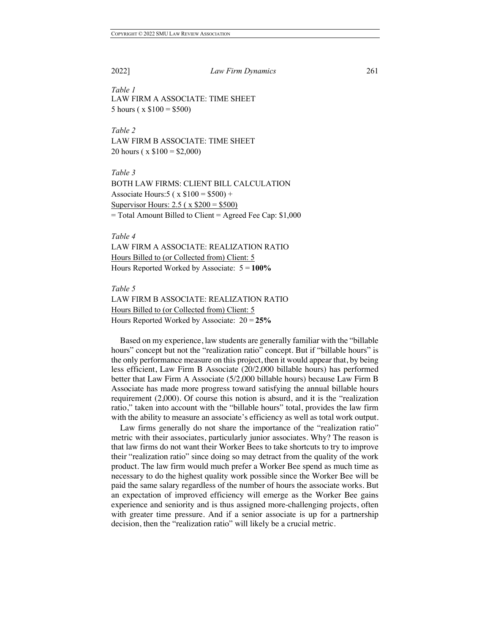*Table 1* LAW FIRM A ASSOCIATE: TIME SHEET 5 hours ( $x$  \$100 = \$500)

*Table 2* LAW FIRM B ASSOCIATE: TIME SHEET 20 hours ( $x$  \$100 = \$2,000)

*Table 3* BOTH LAW FIRMS: CLIENT BILL CALCULATION Associate Hours:  $5 (x \ $100 = $500) +$ Supervisor Hours: 2.5 ( x \$200 = \$500) = Total Amount Billed to Client = Agreed Fee Cap: \$1,000

#### *Table 4*

LAW FIRM A ASSOCIATE: REALIZATION RATIO Hours Billed to (or Collected from) Client: 5 Hours Reported Worked by Associate: 5 = **100%**

#### *Table 5*

LAW FIRM B ASSOCIATE: REALIZATION RATIO Hours Billed to (or Collected from) Client: 5 Hours Reported Worked by Associate: 20 = **25%**

Based on my experience, law students are generally familiar with the "billable hours" concept but not the "realization ratio" concept. But if "billable hours" is the only performance measure on this project, then it would appear that, by being less efficient, Law Firm B Associate (20/2,000 billable hours) has performed better that Law Firm A Associate (5/2,000 billable hours) because Law Firm B Associate has made more progress toward satisfying the annual billable hours requirement (2,000). Of course this notion is absurd, and it is the "realization ratio," taken into account with the "billable hours" total, provides the law firm with the ability to measure an associate's efficiency as well as total work output.

Law firms generally do not share the importance of the "realization ratio" metric with their associates, particularly junior associates. Why? The reason is that law firms do not want their Worker Bees to take shortcuts to try to improve their "realization ratio" since doing so may detract from the quality of the work product. The law firm would much prefer a Worker Bee spend as much time as necessary to do the highest quality work possible since the Worker Bee will be paid the same salary regardless of the number of hours the associate works. But an expectation of improved efficiency will emerge as the Worker Bee gains experience and seniority and is thus assigned more-challenging projects, often with greater time pressure. And if a senior associate is up for a partnership decision, then the "realization ratio" will likely be a crucial metric.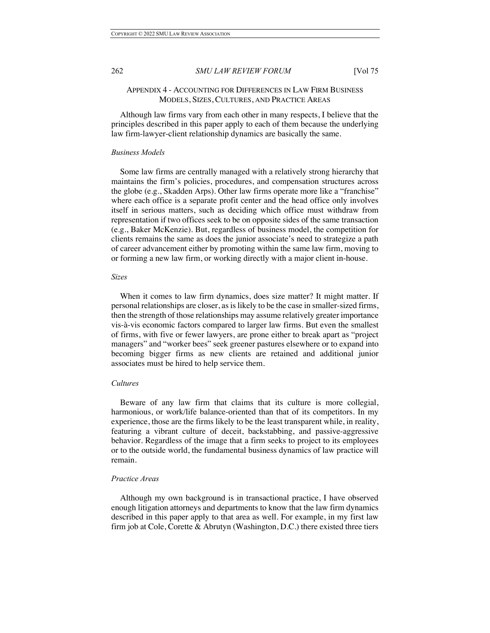#### APPENDIX 4 - ACCOUNTING FOR DIFFERENCES IN LAW FIRM BUSINESS MODELS, SIZES, CULTURES, AND PRACTICE AREAS

Although law firms vary from each other in many respects, I believe that the principles described in this paper apply to each of them because the underlying law firm-lawyer-client relationship dynamics are basically the same.

#### *Business Models*

Some law firms are centrally managed with a relatively strong hierarchy that maintains the firm's policies, procedures, and compensation structures across the globe (e.g., Skadden Arps). Other law firms operate more like a "franchise" where each office is a separate profit center and the head office only involves itself in serious matters, such as deciding which office must withdraw from representation if two offices seek to be on opposite sides of the same transaction (e.g., Baker McKenzie). But, regardless of business model, the competition for clients remains the same as does the junior associate's need to strategize a path of career advancement either by promoting within the same law firm, moving to or forming a new law firm, or working directly with a major client in-house.

#### *Sizes*

When it comes to law firm dynamics, does size matter? It might matter. If personal relationships are closer, as is likely to be the case in smaller-sized firms, then the strength of those relationships may assume relatively greater importance vis-à-vis economic factors compared to larger law firms. But even the smallest of firms, with five or fewer lawyers, are prone either to break apart as "project managers" and "worker bees" seek greener pastures elsewhere or to expand into becoming bigger firms as new clients are retained and additional junior associates must be hired to help service them.

#### *Cultures*

Beware of any law firm that claims that its culture is more collegial, harmonious, or work/life balance-oriented than that of its competitors. In my experience, those are the firms likely to be the least transparent while, in reality, featuring a vibrant culture of deceit, backstabbing, and passive-aggressive behavior. Regardless of the image that a firm seeks to project to its employees or to the outside world, the fundamental business dynamics of law practice will remain.

#### *Practice Areas*

Although my own background is in transactional practice, I have observed enough litigation attorneys and departments to know that the law firm dynamics described in this paper apply to that area as well. For example, in my first law firm job at Cole, Corette & Abrutyn (Washington, D.C.) there existed three tiers